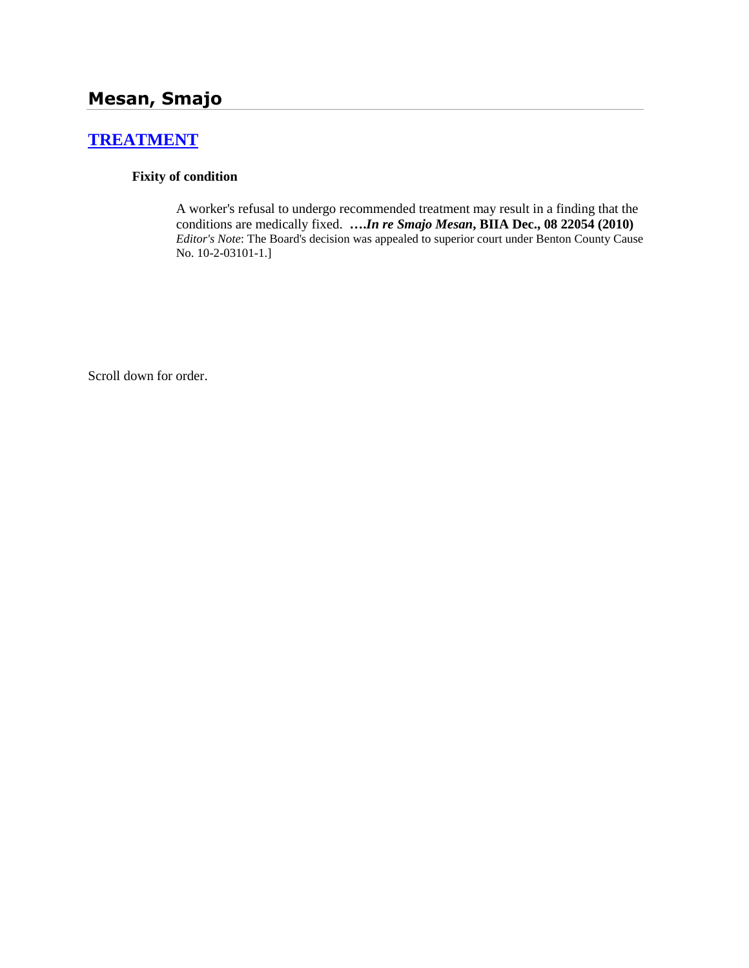# **[TREATMENT](http://www.biia.wa.gov/SDSubjectIndex.html#TREATMENT)**

### **Fixity of condition**

A worker's refusal to undergo recommended treatment may result in a finding that the conditions are medically fixed. **….***In re Smajo Mesan***, BIIA Dec., 08 22054 (2010)**  *Editor's Note*: The Board's decision was appealed to superior court under Benton County Cause No. 10-2-03101-1.]

Scroll down for order.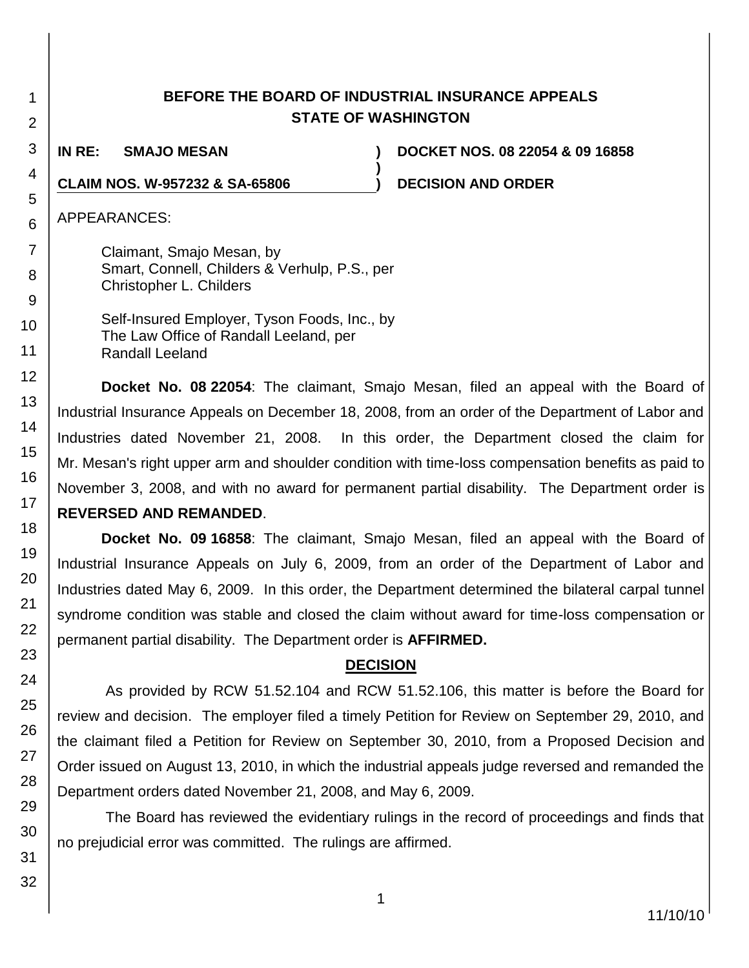| <b>BEFORE THE BOARD OF INDUSTRIAL INSURANCE APPEALS</b> |
|---------------------------------------------------------|
| <b>STATE OF WASHINGTON</b>                              |

**)**

**CLAIM NOS. W-957232 & SA-65806 ) DECISION AND ORDER**

**IN RE: SMAJO MESAN ) DOCKET NOS. 08 22054 & 09 16858**

APPEARANCES:

Claimant, Smajo Mesan, by Smart, Connell, Childers & Verhulp, P.S., per Christopher L. Childers

Self-Insured Employer, Tyson Foods, Inc., by The Law Office of Randall Leeland, per Randall Leeland

**Docket No. 08 22054**: The claimant, Smajo Mesan, filed an appeal with the Board of Industrial Insurance Appeals on December 18, 2008, from an order of the Department of Labor and Industries dated November 21, 2008. In this order, the Department closed the claim for Mr. Mesan's right upper arm and shoulder condition with time-loss compensation benefits as paid to November 3, 2008, and with no award for permanent partial disability. The Department order is **REVERSED AND REMANDED**.

**Docket No. 09 16858**: The claimant, Smajo Mesan, filed an appeal with the Board of Industrial Insurance Appeals on July 6, 2009, from an order of the Department of Labor and Industries dated May 6, 2009. In this order, the Department determined the bilateral carpal tunnel syndrome condition was stable and closed the claim without award for time-loss compensation or permanent partial disability. The Department order is **AFFIRMED.**

## **DECISION**

As provided by RCW 51.52.104 and RCW 51.52.106, this matter is before the Board for review and decision. The employer filed a timely Petition for Review on September 29, 2010, and the claimant filed a Petition for Review on September 30, 2010, from a Proposed Decision and Order issued on August 13, 2010, in which the industrial appeals judge reversed and remanded the Department orders dated November 21, 2008, and May 6, 2009.

The Board has reviewed the evidentiary rulings in the record of proceedings and finds that no prejudicial error was committed. The rulings are affirmed.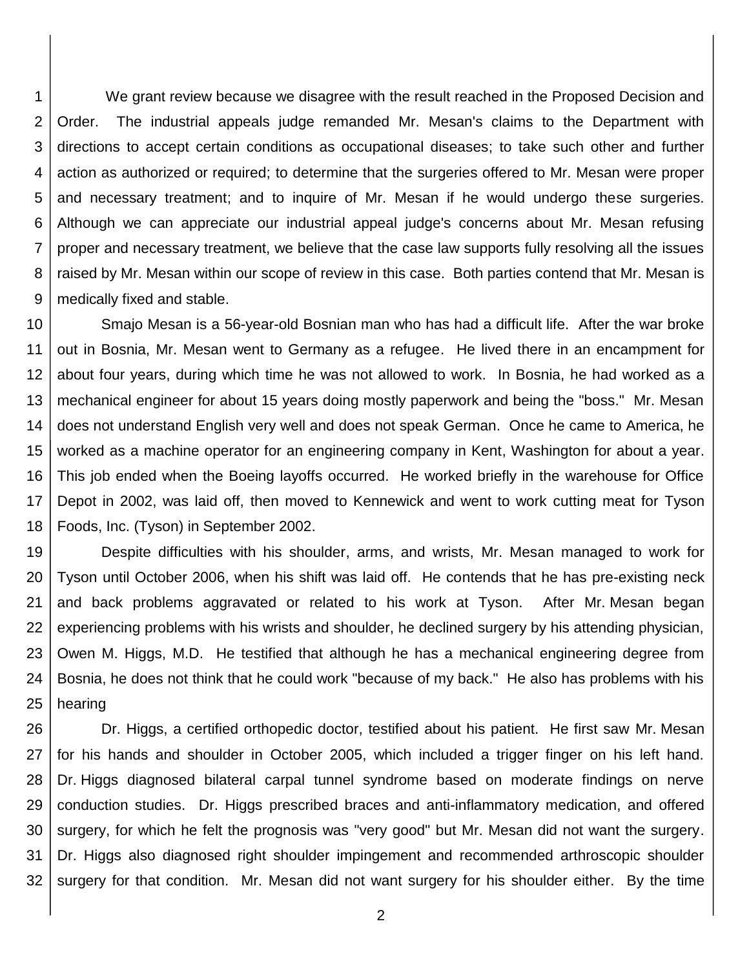1 2 3 4 5 6 7 8 9 We grant review because we disagree with the result reached in the Proposed Decision and Order. The industrial appeals judge remanded Mr. Mesan's claims to the Department with directions to accept certain conditions as occupational diseases; to take such other and further action as authorized or required; to determine that the surgeries offered to Mr. Mesan were proper and necessary treatment; and to inquire of Mr. Mesan if he would undergo these surgeries. Although we can appreciate our industrial appeal judge's concerns about Mr. Mesan refusing proper and necessary treatment, we believe that the case law supports fully resolving all the issues raised by Mr. Mesan within our scope of review in this case. Both parties contend that Mr. Mesan is medically fixed and stable.

10 11 12 13 14 15 16 17 18 Smajo Mesan is a 56-year-old Bosnian man who has had a difficult life. After the war broke out in Bosnia, Mr. Mesan went to Germany as a refugee. He lived there in an encampment for about four years, during which time he was not allowed to work. In Bosnia, he had worked as a mechanical engineer for about 15 years doing mostly paperwork and being the "boss." Mr. Mesan does not understand English very well and does not speak German. Once he came to America, he worked as a machine operator for an engineering company in Kent, Washington for about a year. This job ended when the Boeing layoffs occurred. He worked briefly in the warehouse for Office Depot in 2002, was laid off, then moved to Kennewick and went to work cutting meat for Tyson Foods, Inc. (Tyson) in September 2002.

19 20 21 22 23 24 25 Despite difficulties with his shoulder, arms, and wrists, Mr. Mesan managed to work for Tyson until October 2006, when his shift was laid off. He contends that he has pre-existing neck and back problems aggravated or related to his work at Tyson. After Mr. Mesan began experiencing problems with his wrists and shoulder, he declined surgery by his attending physician, Owen M. Higgs, M.D. He testified that although he has a mechanical engineering degree from Bosnia, he does not think that he could work "because of my back." He also has problems with his hearing

26 27 28 29 30 31 32 Dr. Higgs, a certified orthopedic doctor, testified about his patient. He first saw Mr. Mesan for his hands and shoulder in October 2005, which included a trigger finger on his left hand. Dr. Higgs diagnosed bilateral carpal tunnel syndrome based on moderate findings on nerve conduction studies. Dr. Higgs prescribed braces and anti-inflammatory medication, and offered surgery, for which he felt the prognosis was "very good" but Mr. Mesan did not want the surgery. Dr. Higgs also diagnosed right shoulder impingement and recommended arthroscopic shoulder surgery for that condition. Mr. Mesan did not want surgery for his shoulder either. By the time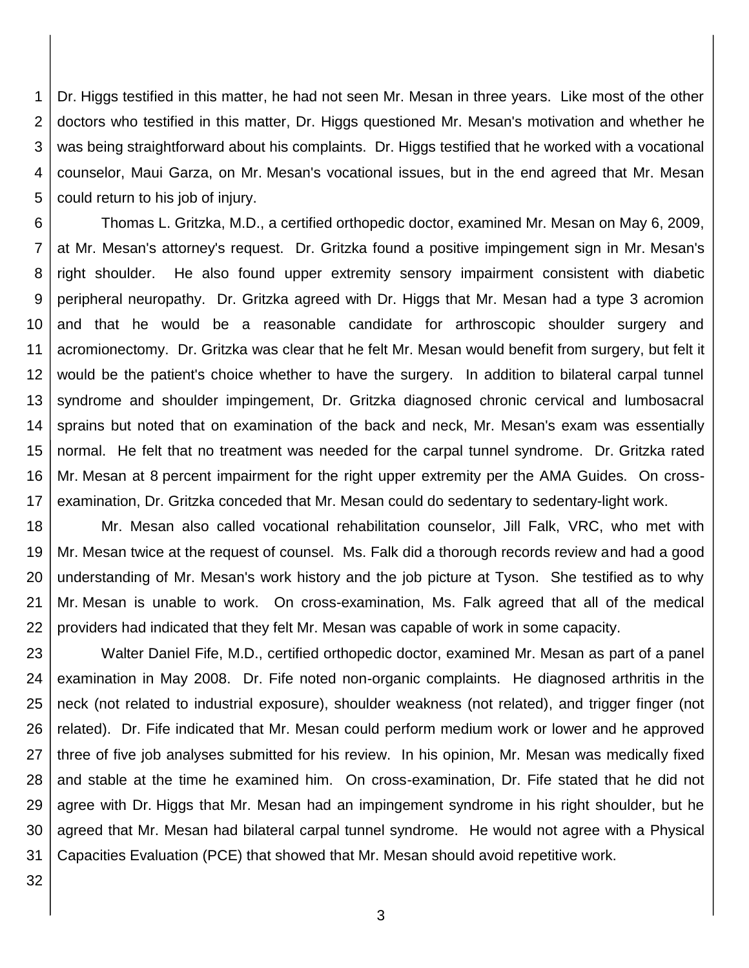1 2 3 4 5 Dr. Higgs testified in this matter, he had not seen Mr. Mesan in three years. Like most of the other doctors who testified in this matter, Dr. Higgs questioned Mr. Mesan's motivation and whether he was being straightforward about his complaints. Dr. Higgs testified that he worked with a vocational counselor, Maui Garza, on Mr. Mesan's vocational issues, but in the end agreed that Mr. Mesan could return to his job of injury.

6 7 8 9 10 11 12 13 14 15 16 17 Thomas L. Gritzka, M.D., a certified orthopedic doctor, examined Mr. Mesan on May 6, 2009, at Mr. Mesan's attorney's request. Dr. Gritzka found a positive impingement sign in Mr. Mesan's right shoulder. He also found upper extremity sensory impairment consistent with diabetic peripheral neuropathy. Dr. Gritzka agreed with Dr. Higgs that Mr. Mesan had a type 3 acromion and that he would be a reasonable candidate for arthroscopic shoulder surgery and acromionectomy. Dr. Gritzka was clear that he felt Mr. Mesan would benefit from surgery, but felt it would be the patient's choice whether to have the surgery. In addition to bilateral carpal tunnel syndrome and shoulder impingement, Dr. Gritzka diagnosed chronic cervical and lumbosacral sprains but noted that on examination of the back and neck, Mr. Mesan's exam was essentially normal. He felt that no treatment was needed for the carpal tunnel syndrome. Dr. Gritzka rated Mr. Mesan at 8 percent impairment for the right upper extremity per the AMA Guides. On crossexamination, Dr. Gritzka conceded that Mr. Mesan could do sedentary to sedentary-light work.

18 19 20 21 22 Mr. Mesan also called vocational rehabilitation counselor, Jill Falk, VRC, who met with Mr. Mesan twice at the request of counsel. Ms. Falk did a thorough records review and had a good understanding of Mr. Mesan's work history and the job picture at Tyson. She testified as to why Mr. Mesan is unable to work. On cross-examination, Ms. Falk agreed that all of the medical providers had indicated that they felt Mr. Mesan was capable of work in some capacity.

23 24 25 26 27 28 29 30 31 Walter Daniel Fife, M.D., certified orthopedic doctor, examined Mr. Mesan as part of a panel examination in May 2008. Dr. Fife noted non-organic complaints. He diagnosed arthritis in the neck (not related to industrial exposure), shoulder weakness (not related), and trigger finger (not related). Dr. Fife indicated that Mr. Mesan could perform medium work or lower and he approved three of five job analyses submitted for his review. In his opinion, Mr. Mesan was medically fixed and stable at the time he examined him. On cross-examination, Dr. Fife stated that he did not agree with Dr. Higgs that Mr. Mesan had an impingement syndrome in his right shoulder, but he agreed that Mr. Mesan had bilateral carpal tunnel syndrome. He would not agree with a Physical Capacities Evaluation (PCE) that showed that Mr. Mesan should avoid repetitive work.

32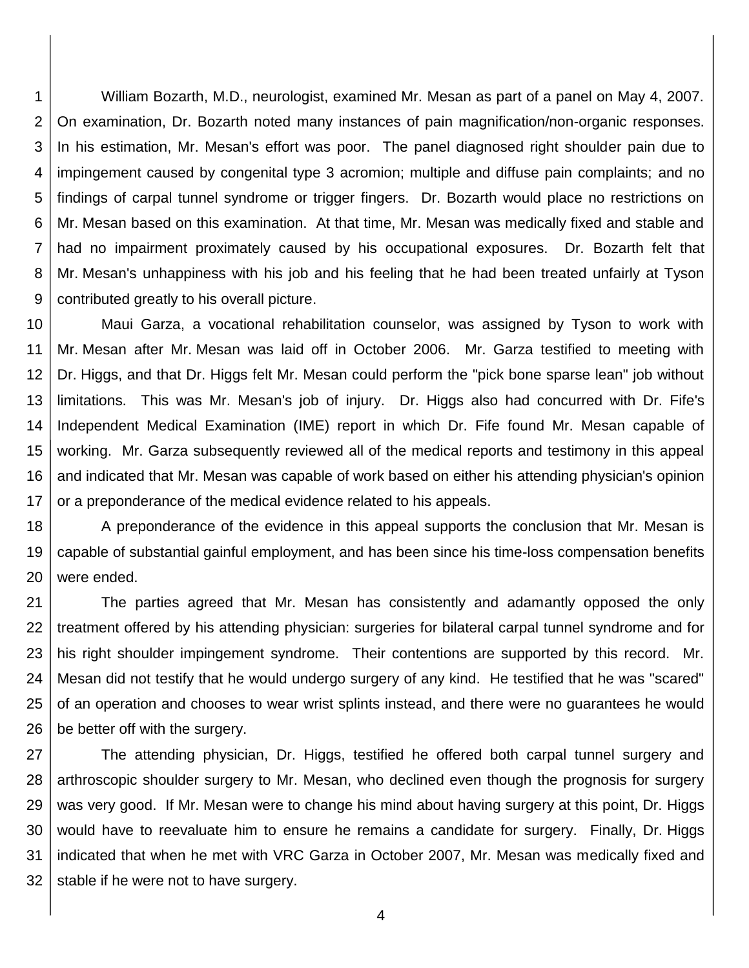1 2 3 4 5 6 7 8 9 William Bozarth, M.D., neurologist, examined Mr. Mesan as part of a panel on May 4, 2007. On examination, Dr. Bozarth noted many instances of pain magnification/non-organic responses. In his estimation, Mr. Mesan's effort was poor. The panel diagnosed right shoulder pain due to impingement caused by congenital type 3 acromion; multiple and diffuse pain complaints; and no findings of carpal tunnel syndrome or trigger fingers. Dr. Bozarth would place no restrictions on Mr. Mesan based on this examination. At that time, Mr. Mesan was medically fixed and stable and had no impairment proximately caused by his occupational exposures. Dr. Bozarth felt that Mr. Mesan's unhappiness with his job and his feeling that he had been treated unfairly at Tyson contributed greatly to his overall picture.

10 11 12 13 14 15 16 17 Maui Garza, a vocational rehabilitation counselor, was assigned by Tyson to work with Mr. Mesan after Mr. Mesan was laid off in October 2006. Mr. Garza testified to meeting with Dr. Higgs, and that Dr. Higgs felt Mr. Mesan could perform the "pick bone sparse lean" job without limitations. This was Mr. Mesan's job of injury. Dr. Higgs also had concurred with Dr. Fife's Independent Medical Examination (IME) report in which Dr. Fife found Mr. Mesan capable of working. Mr. Garza subsequently reviewed all of the medical reports and testimony in this appeal and indicated that Mr. Mesan was capable of work based on either his attending physician's opinion or a preponderance of the medical evidence related to his appeals.

18 19 20 A preponderance of the evidence in this appeal supports the conclusion that Mr. Mesan is capable of substantial gainful employment, and has been since his time-loss compensation benefits were ended.

21 22 23 24 25 26 The parties agreed that Mr. Mesan has consistently and adamantly opposed the only treatment offered by his attending physician: surgeries for bilateral carpal tunnel syndrome and for his right shoulder impingement syndrome. Their contentions are supported by this record. Mr. Mesan did not testify that he would undergo surgery of any kind. He testified that he was "scared" of an operation and chooses to wear wrist splints instead, and there were no guarantees he would be better off with the surgery.

27 28 29 30 31 32 The attending physician, Dr. Higgs, testified he offered both carpal tunnel surgery and arthroscopic shoulder surgery to Mr. Mesan, who declined even though the prognosis for surgery was very good. If Mr. Mesan were to change his mind about having surgery at this point, Dr. Higgs would have to reevaluate him to ensure he remains a candidate for surgery. Finally, Dr. Higgs indicated that when he met with VRC Garza in October 2007, Mr. Mesan was medically fixed and stable if he were not to have surgery.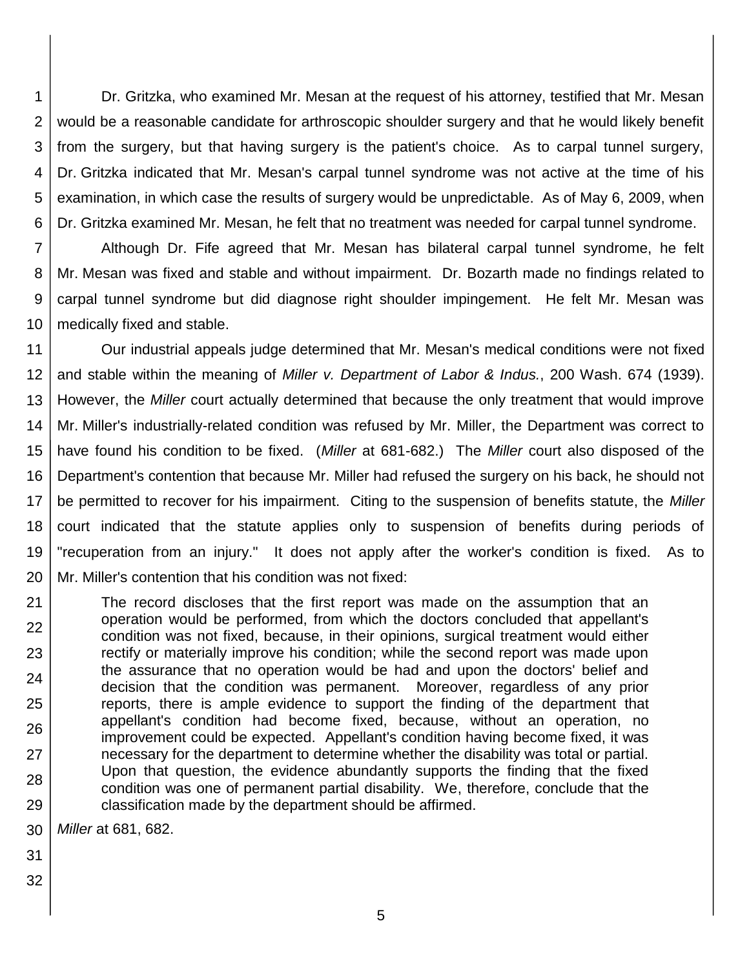1 2 3 4 5 6 Dr. Gritzka, who examined Mr. Mesan at the request of his attorney, testified that Mr. Mesan would be a reasonable candidate for arthroscopic shoulder surgery and that he would likely benefit from the surgery, but that having surgery is the patient's choice. As to carpal tunnel surgery, Dr. Gritzka indicated that Mr. Mesan's carpal tunnel syndrome was not active at the time of his examination, in which case the results of surgery would be unpredictable. As of May 6, 2009, when Dr. Gritzka examined Mr. Mesan, he felt that no treatment was needed for carpal tunnel syndrome.

7 8 9 10 Although Dr. Fife agreed that Mr. Mesan has bilateral carpal tunnel syndrome, he felt Mr. Mesan was fixed and stable and without impairment. Dr. Bozarth made no findings related to carpal tunnel syndrome but did diagnose right shoulder impingement. He felt Mr. Mesan was medically fixed and stable.

11 12 13 14 15 16 17 18 19 20 Our industrial appeals judge determined that Mr. Mesan's medical conditions were not fixed and stable within the meaning of *Miller v. Department of Labor & Indus.*, 200 Wash. 674 (1939). However, the *Miller* court actually determined that because the only treatment that would improve Mr. Miller's industrially-related condition was refused by Mr. Miller, the Department was correct to have found his condition to be fixed. (*Miller* at 681-682.) The *Miller* court also disposed of the Department's contention that because Mr. Miller had refused the surgery on his back, he should not be permitted to recover for his impairment. Citing to the suspension of benefits statute, the *Miller* court indicated that the statute applies only to suspension of benefits during periods of "recuperation from an injury." It does not apply after the worker's condition is fixed. As to Mr. Miller's contention that his condition was not fixed:

21 22 23 24 25 26 27 28 29 The record discloses that the first report was made on the assumption that an operation would be performed, from which the doctors concluded that appellant's condition was not fixed, because, in their opinions, surgical treatment would either rectify or materially improve his condition; while the second report was made upon the assurance that no operation would be had and upon the doctors' belief and decision that the condition was permanent. Moreover, regardless of any prior reports, there is ample evidence to support the finding of the department that appellant's condition had become fixed, because, without an operation, no improvement could be expected. Appellant's condition having become fixed, it was necessary for the department to determine whether the disability was total or partial. Upon that question, the evidence abundantly supports the finding that the fixed condition was one of permanent partial disability. We, therefore, conclude that the classification made by the department should be affirmed.

30 *Miller* at 681, 682.

- 31
- 32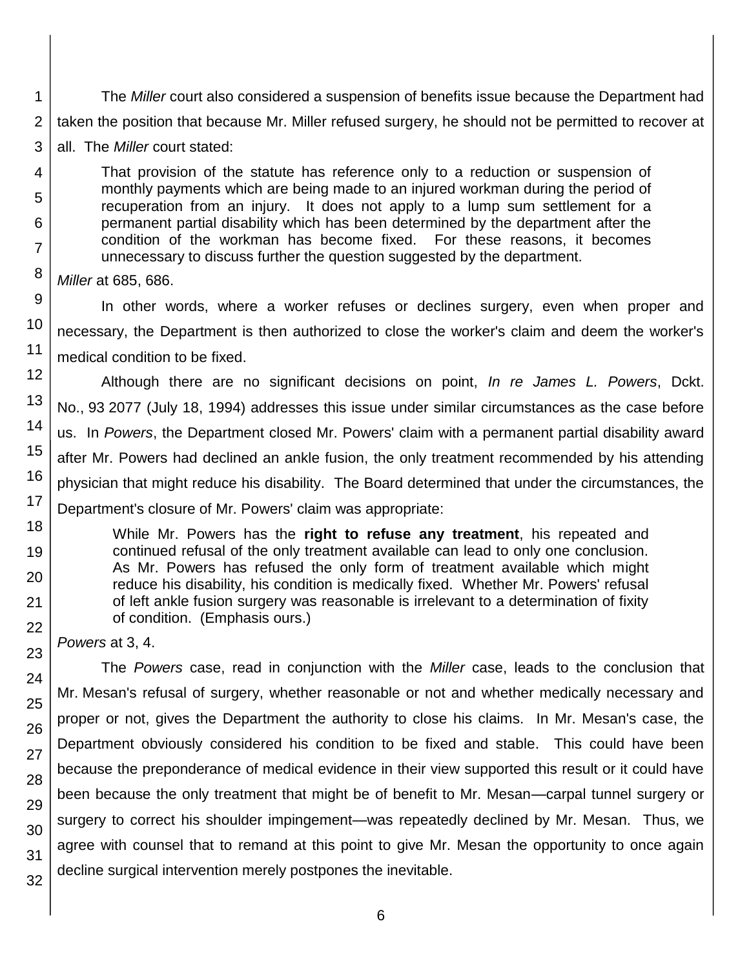1 2 The *Miller* court also considered a suspension of benefits issue because the Department had taken the position that because Mr. Miller refused surgery, he should not be permitted to recover at

3 all. The *Miller* court stated:

That provision of the statute has reference only to a reduction or suspension of monthly payments which are being made to an injured workman during the period of recuperation from an injury. It does not apply to a lump sum settlement for a permanent partial disability which has been determined by the department after the condition of the workman has become fixed. For these reasons, it becomes unnecessary to discuss further the question suggested by the department.

*Miller* at 685, 686.

4

5

6

7

8

11

19

20

21

22

23

24

25

26

27

28

29 30

31

32

9 10 In other words, where a worker refuses or declines surgery, even when proper and necessary, the Department is then authorized to close the worker's claim and deem the worker's medical condition to be fixed.

12 13 14 15 16 17 18 Although there are no significant decisions on point, *In re James L. Powers*, Dckt. No., 93 2077 (July 18, 1994) addresses this issue under similar circumstances as the case before us. In *Powers*, the Department closed Mr. Powers' claim with a permanent partial disability award after Mr. Powers had declined an ankle fusion, the only treatment recommended by his attending physician that might reduce his disability. The Board determined that under the circumstances, the Department's closure of Mr. Powers' claim was appropriate:

While Mr. Powers has the **right to refuse any treatment**, his repeated and continued refusal of the only treatment available can lead to only one conclusion. As Mr. Powers has refused the only form of treatment available which might reduce his disability, his condition is medically fixed. Whether Mr. Powers' refusal of left ankle fusion surgery was reasonable is irrelevant to a determination of fixity of condition. (Emphasis ours.)

*Powers* at 3, 4.

The *Powers* case, read in conjunction with the *Miller* case, leads to the conclusion that Mr. Mesan's refusal of surgery, whether reasonable or not and whether medically necessary and proper or not, gives the Department the authority to close his claims. In Mr. Mesan's case, the Department obviously considered his condition to be fixed and stable. This could have been because the preponderance of medical evidence in their view supported this result or it could have been because the only treatment that might be of benefit to Mr. Mesan—carpal tunnel surgery or surgery to correct his shoulder impingement—was repeatedly declined by Mr. Mesan. Thus, we agree with counsel that to remand at this point to give Mr. Mesan the opportunity to once again decline surgical intervention merely postpones the inevitable.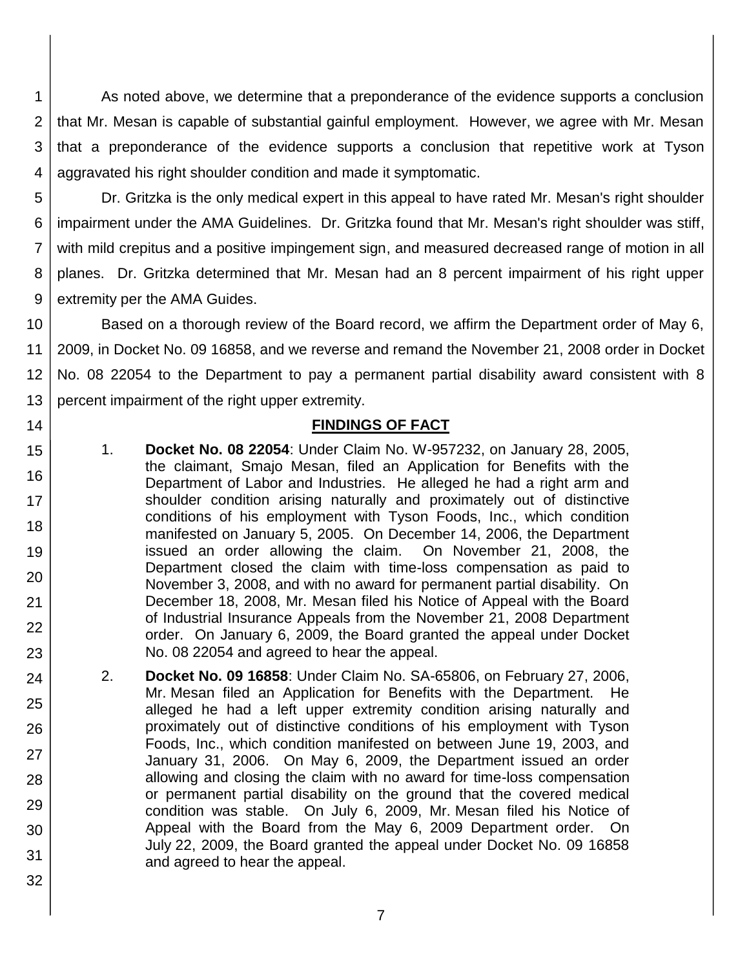1 2 3 4 As noted above, we determine that a preponderance of the evidence supports a conclusion that Mr. Mesan is capable of substantial gainful employment. However, we agree with Mr. Mesan that a preponderance of the evidence supports a conclusion that repetitive work at Tyson aggravated his right shoulder condition and made it symptomatic.

5 6

14

15

16

17

18

19

20

21

22

23

32

7 8 9 Dr. Gritzka is the only medical expert in this appeal to have rated Mr. Mesan's right shoulder impairment under the AMA Guidelines. Dr. Gritzka found that Mr. Mesan's right shoulder was stiff, with mild crepitus and a positive impingement sign, and measured decreased range of motion in all planes. Dr. Gritzka determined that Mr. Mesan had an 8 percent impairment of his right upper extremity per the AMA Guides.

10 11 12 13 Based on a thorough review of the Board record, we affirm the Department order of May 6, 2009, in Docket No. 09 16858, and we reverse and remand the November 21, 2008 order in Docket No. 08 22054 to the Department to pay a permanent partial disability award consistent with 8 percent impairment of the right upper extremity.

## **FINDINGS OF FACT**

- 1. **Docket No. 08 22054**: Under Claim No. W-957232, on January 28, 2005, the claimant, Smajo Mesan, filed an Application for Benefits with the Department of Labor and Industries. He alleged he had a right arm and shoulder condition arising naturally and proximately out of distinctive conditions of his employment with Tyson Foods, Inc., which condition manifested on January 5, 2005. On December 14, 2006, the Department issued an order allowing the claim. On November 21, 2008, the Department closed the claim with time-loss compensation as paid to November 3, 2008, and with no award for permanent partial disability. On December 18, 2008, Mr. Mesan filed his Notice of Appeal with the Board of Industrial Insurance Appeals from the November 21, 2008 Department order. On January 6, 2009, the Board granted the appeal under Docket No. 08 22054 and agreed to hear the appeal.
- 24 25 26 27 28 29 30 31 2. **Docket No. 09 16858**: Under Claim No. SA-65806, on February 27, 2006, Mr. Mesan filed an Application for Benefits with the Department. He alleged he had a left upper extremity condition arising naturally and proximately out of distinctive conditions of his employment with Tyson Foods, Inc., which condition manifested on between June 19, 2003, and January 31, 2006. On May 6, 2009, the Department issued an order allowing and closing the claim with no award for time-loss compensation or permanent partial disability on the ground that the covered medical condition was stable. On July 6, 2009, Mr. Mesan filed his Notice of Appeal with the Board from the May 6, 2009 Department order. On July 22, 2009, the Board granted the appeal under Docket No. 09 16858 and agreed to hear the appeal.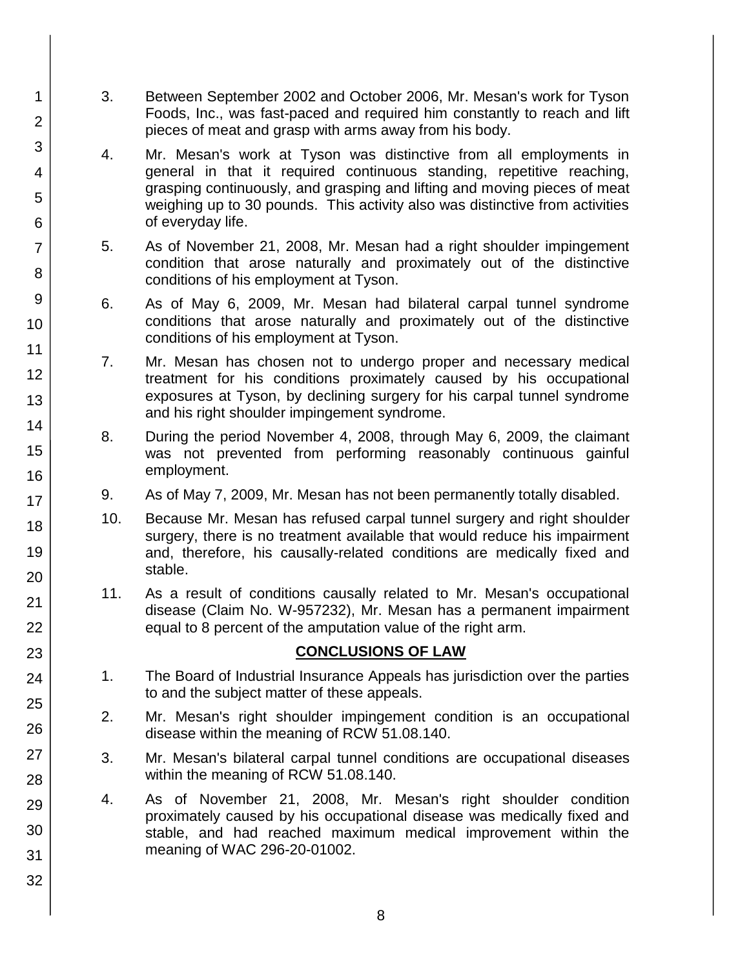- 3. Between September 2002 and October 2006, Mr. Mesan's work for Tyson Foods, Inc., was fast-paced and required him constantly to reach and lift pieces of meat and grasp with arms away from his body.
	- 4. Mr. Mesan's work at Tyson was distinctive from all employments in general in that it required continuous standing, repetitive reaching, grasping continuously, and grasping and lifting and moving pieces of meat weighing up to 30 pounds. This activity also was distinctive from activities of everyday life.
- 5. As of November 21, 2008, Mr. Mesan had a right shoulder impingement condition that arose naturally and proximately out of the distinctive conditions of his employment at Tyson.
- 6. As of May 6, 2009, Mr. Mesan had bilateral carpal tunnel syndrome conditions that arose naturally and proximately out of the distinctive conditions of his employment at Tyson.
- 7. Mr. Mesan has chosen not to undergo proper and necessary medical treatment for his conditions proximately caused by his occupational exposures at Tyson, by declining surgery for his carpal tunnel syndrome and his right shoulder impingement syndrome.
- 8. During the period November 4, 2008, through May 6, 2009, the claimant was not prevented from performing reasonably continuous gainful employment.
- 9. As of May 7, 2009, Mr. Mesan has not been permanently totally disabled.
- 10. Because Mr. Mesan has refused carpal tunnel surgery and right shoulder surgery, there is no treatment available that would reduce his impairment and, therefore, his causally-related conditions are medically fixed and stable.
- 11. As a result of conditions causally related to Mr. Mesan's occupational disease (Claim No. W-957232), Mr. Mesan has a permanent impairment equal to 8 percent of the amputation value of the right arm.

## **CONCLUSIONS OF LAW**

- 1. The Board of Industrial Insurance Appeals has jurisdiction over the parties to and the subject matter of these appeals.
- 2. Mr. Mesan's right shoulder impingement condition is an occupational disease within the meaning of RCW 51.08.140.
- 3. Mr. Mesan's bilateral carpal tunnel conditions are occupational diseases within the meaning of RCW 51.08.140.
- 4. As of November 21, 2008, Mr. Mesan's right shoulder condition proximately caused by his occupational disease was medically fixed and stable, and had reached maximum medical improvement within the meaning of WAC 296-20-01002.
- 2 3 4 5 6 7 8 9 10 11 12 13 14 15 16 17 18 19 20 21 22 23 24 25 26 27 28 29 30 31 32